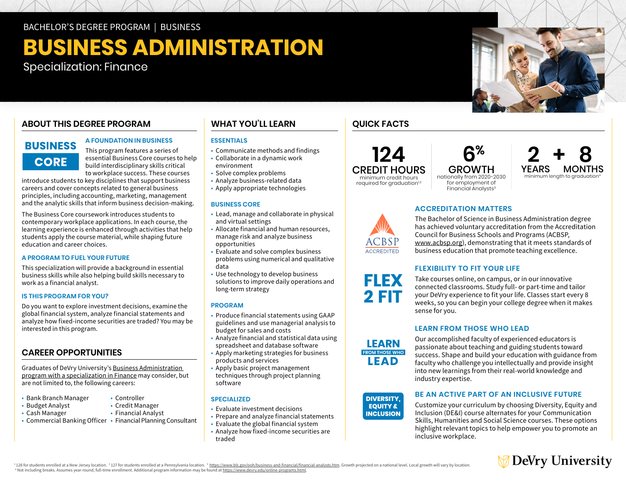BACHELOR'S DEGREE PROGRAM | BUSINESS

# **BUSINESS ADMINISTRATION**

Specialization: Finance

## **ABOUT THIS DEGREE PROGRAM**

## **BUSINESS CORE**

## **A FOUNDATION IN BUSINESS**

This program features a series of essential Business Core courses to help build interdisciplinary skills critical to workplace success. These courses

introduce students to key disciplines that support business careers and cover concepts related to general business principles, including accounting, marketing, management and the analytic skills that inform business decision-making.

The Business Core coursework introduces students to contemporary workplace applications. In each course, the learning experience is enhanced through activities that help students apply the course material, while shaping future education and career choices.

## **A PROGRAM TO FUEL YOUR FUTURE**

This specialization will provide a background in essential business skills while also helping build skills necessary to work as a financial analyst.

## **IS THIS PROGRAM FOR YOU?**

Do you want to explore investment decisions, examine the global financial system, analyze financial statements and analyze how fixed-income securities are traded? You may be interested in this program.

## **CAREER OPPORTUNITIES**

Graduates of DeVry University's [Business Administration](https://www.devry.edu/online-programs/bachelors-degrees/business/finance-specialization.html)  [program with a specialization in Finance](https://www.devry.edu/online-programs/bachelors-degrees/business/finance-specialization.html) may consider, but are not limited to, the following careers:

- Bank Branch Manager
- Budget Analyst
- Controller • Credit Manager

• Financial Analyst

- Cash Manager
- Commercial Banking Officer Financial Planning Consultant

## **WHAT YOU'LL LEARN**

## **ESSENTIALS**

- Communicate methods and findings
- Collaborate in a dynamic work environment
- Solve complex problems
- Analyze business-related data
- Apply appropriate technologies

## **BUSINESS CORE**

- Lead, manage and collaborate in physical and virtual settings
- Allocate financial and human resources, manage risk and analyze business opportunities
- Evaluate and solve complex business problems using numerical and qualitative data
- Use technology to develop business solutions to improve daily operations and long-term strategy

## **PROGRAM**

- Produce financial statements using GAAP guidelines and use managerial analysis to budget for sales and costs
- Analyze financial and statistical data using spreadsheet and database software
- Apply marketing strategies for business products and services
- Apply basic project management techniques through project planning software

## **SPECIALIZED**

- Evaluate investment decisions
- Prepare and analyze financial statements
- Evaluate the global financial system
- Analyze how fixed-income securities are traded

## **QUICK FACTS**

**124** CREDIT HOURS minimum credit hours required for graduation<sup>1,2</sup>

GROWTH nationally from 2020-2030 for employment of Financial Analysts<sup>3</sup>

 **6%**

## **ACCREDITATION MATTERS**



**FLEX** 2 FIT

The Bachelor of Science in Business Administration degree has achieved voluntary accreditation from the Accreditation Council for Business Schools and Programs (ACBSP, [www.acbsp.org](http://www.acbsp.org)), demonstrating that it meets standards of business education that promote teaching excellence.

## **FLEXIBILITY TO FIT YOUR LIFE**

Take courses online, on campus, or in our innovative connected classrooms. Study full- or part-time and tailor your DeVry experience to fit your life. Classes start every 8 weeks, so you can begin your college degree when it makes sense for you.

## **LEARN FROM THOSE WHO LEAD**

Our accomplished faculty of experienced educators is passionate about teaching and guiding students toward success. Shape and build your education with guidance from success. Shape and build your education with guidance hon<br>faculty who challenge you intellectually and provide insight racuity who challenge you intellectually and provide insi<br>into new learnings from their real-world knowledge and industry expertise. III53 II UIII U<br>..

## **DIVERSITY, EQUITY & INCLUSION**

**FROM THOSE WHO EAD INCLUSION**

LEARN

## **BE AN ACTIVE PART OF AN INCLUSIVE FUTURE**

Customize your curriculum by choosing Diversity, Equity and Inclusion (DE&I) course alternates for your Communication Skills, Humanities and Social Science courses. These options highlight relevant topics to help empower you to promote an inclusive workplace.



<sup>4</sup> 128 for students enrolled at a New Jersey location. <sup>2</sup> 127 for students enrolled at a Pennsylvania location. <sup>3</sup> https://www.olls.gov/oh/business-and-ifinancial-analysts.htm. Growth projected on a national level, Loca

<sup>4</sup> Not including breaks. Assumes year-round, full-time enrollment. Additional program information may be found at [https://www.devry.edu/](https://www.devry.edu/online-programs.html)online-programs.html.







**2+8** YEARS MONTHS